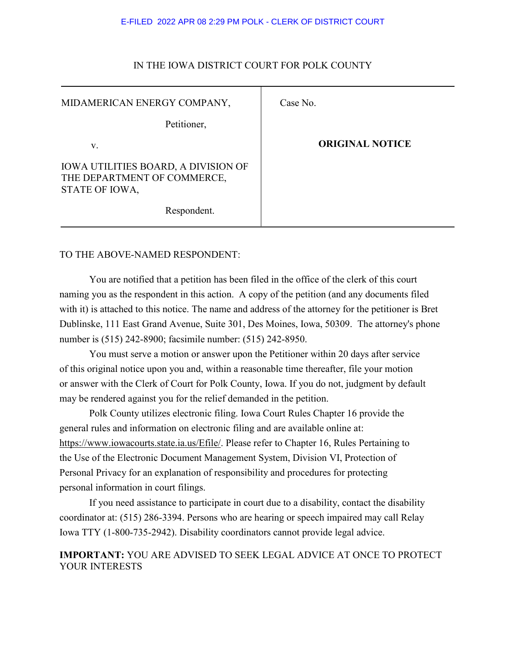#### E-FILED 2022 APR 08 2:29 PM POLK - CLERK OF DISTRICT COURT

| MIDAMERICAN ENERGY COMPANY,                                                                 | Case No.               |
|---------------------------------------------------------------------------------------------|------------------------|
| Petitioner,                                                                                 |                        |
| V.                                                                                          | <b>ORIGINAL NOTICE</b> |
| <b>IOWA UTILITIES BOARD, A DIVISION OF</b><br>THE DEPARTMENT OF COMMERCE,<br>STATE OF IOWA, |                        |
| Respondent.                                                                                 |                        |

## IN THE IOWA DISTRICT COURT FOR POLK COUNTY

## TO THE ABOVE-NAMED RESPONDENT:

You are notified that a petition has been filed in the office of the clerk of this court naming you as the respondent in this action. A copy of the petition (and any documents filed with it) is attached to this notice. The name and address of the attorney for the petitioner is Bret Dublinske, 111 East Grand Avenue, Suite 301, Des Moines, Iowa, 50309. The attorney's phone number is (515) 242-8900; facsimile number: (515) 242-8950.

You must serve a motion or answer upon the Petitioner within 20 days after service of this original notice upon you and, within a reasonable time thereafter, file your motion or answer with the Clerk of Court for Polk County, Iowa. If you do not, judgment by default may be rendered against you for the relief demanded in the petition.

Polk County utilizes electronic filing. Iowa Court Rules Chapter 16 provide the general rules and information on electronic filing and are available online at: https://www.iowacourts.state.ia.us/Efile/. Please refer to Chapter 16, Rules Pertaining to the Use of the Electronic Document Management System, Division VI, Protection of Personal Privacy for an explanation of responsibility and procedures for protecting personal information in court filings.

If you need assistance to participate in court due to a disability, contact the disability coordinator at: (515) 286-3394. Persons who are hearing or speech impaired may call Relay Iowa TTY (1-800-735-2942). Disability coordinators cannot provide legal advice.

## **IMPORTANT:** YOU ARE ADVISED TO SEEK LEGAL ADVICE AT ONCE TO PROTECT YOUR INTERESTS